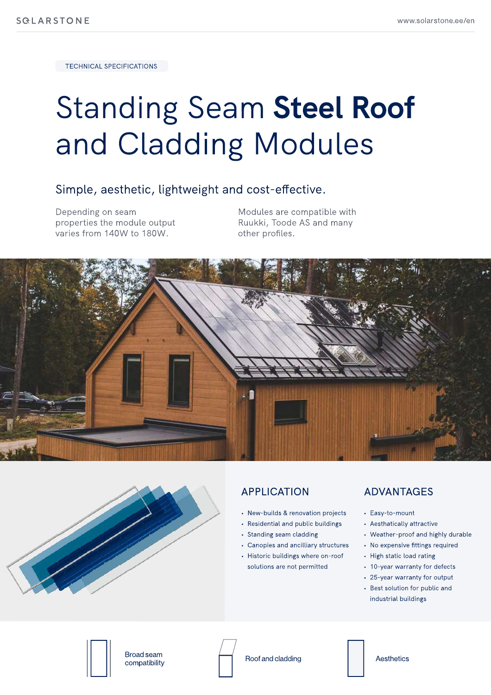Technical Specifications

# Standing Seam Steel Roof and Cladding Modules

#### Simple, aesthetic, lightweight and cost-effective.

Depending on seam properties the module output varies from 140W to 180W.

Modules are compatible with Ruukki, Toode AS and many other profiles.





#### **APPLICATION**

- New-builds & renovation projects
- Residential and public buildings
- Standing seam cladding
- Canopies and ancilliary structures
- Historic buildings where on-roof solutions are not permitted

#### **ADVANTAGES**

- Easy-to-mount
- Aesthatically attractiv
- Weather-proof and highly durable
- No expensive fittings required
- High static load rating
- 10-year warranty for defect|
- 25-year warranty for output
- Best solution for public and industrial buildings



Broad seam

Broad searn<br>compatibility **Roof and cladding** Aesthetics